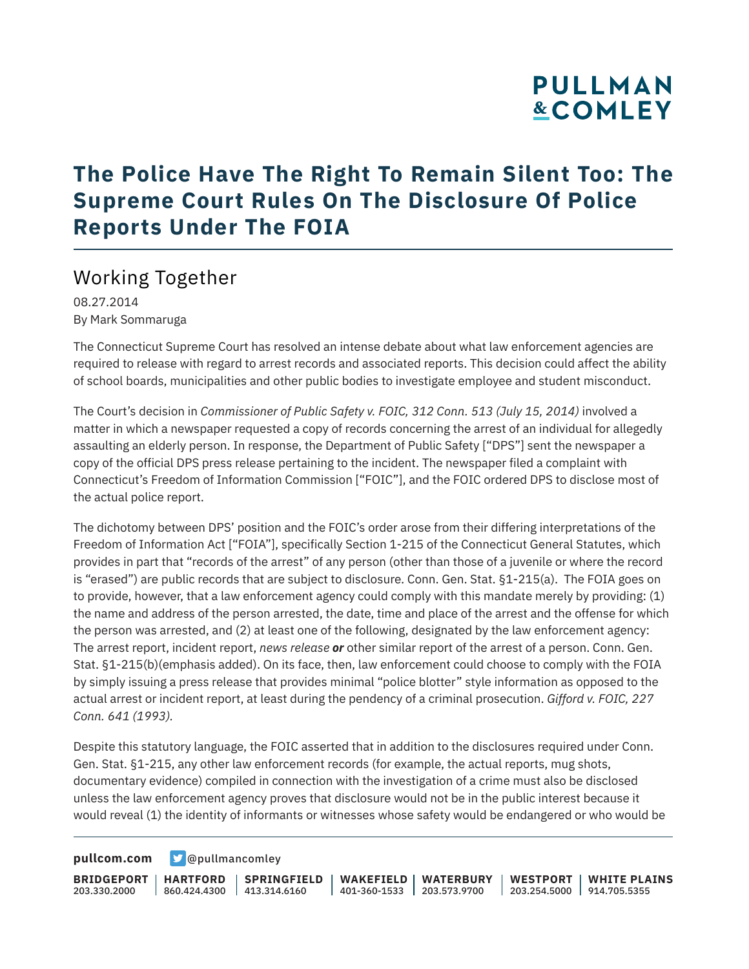# **PULLMAN &COMLEY**

### **The Police Have The Right To Remain Silent Too: The Supreme Court Rules On The Disclosure Of Police Reports Under The FOIA**

#### Working Together

08.27.2014 By Mark Sommaruga

The Connecticut Supreme Court has resolved an intense debate about what law enforcement agencies are required to release with regard to arrest records and associated reports. This decision could affect the ability of school boards, municipalities and other public bodies to investigate employee and student misconduct.

The Court's decision in *Commissioner of Public Safety v. FOIC, 312 Conn. 513 (July 15, 2014)* involved a matter in which a newspaper requested a copy of records concerning the arrest of an individual for allegedly assaulting an elderly person. In response, the Department of Public Safety ["DPS"] sent the newspaper a copy of the official DPS press release pertaining to the incident. The newspaper filed a complaint with Connecticut's Freedom of Information Commission ["FOIC"], and the FOIC ordered DPS to disclose most of the actual police report.

The dichotomy between DPS' position and the FOIC's order arose from their differing interpretations of the Freedom of Information Act ["FOIA"], specifically Section 1-215 of the Connecticut General Statutes, which provides in part that "records of the arrest" of any person (other than those of a juvenile or where the record is "erased") are public records that are subject to disclosure. Conn. Gen. Stat. §1-215(a). The FOIA goes on to provide, however, that a law enforcement agency could comply with this mandate merely by providing: (1) the name and address of the person arrested, the date, time and place of the arrest and the offense for which the person was arrested, and (2) at least one of the following, designated by the law enforcement agency: The arrest report, incident report, *news release or* other similar report of the arrest of a person. Conn. Gen. Stat. §1-215(b)(emphasis added). On its face, then, law enforcement could choose to comply with the FOIA by simply issuing a press release that provides minimal "police blotter" style information as opposed to the actual arrest or incident report, at least during the pendency of a criminal prosecution. *Gifford v. FOIC, 227 Conn. 641 (1993).*

Despite this statutory language, the FOIC asserted that in addition to the disclosures required under Conn. Gen. Stat. §1-215, any other law enforcement records (for example, the actual reports, mug shots, documentary evidence) compiled in connection with the investigation of a crime must also be disclosed unless the law enforcement agency proves that disclosure would not be in the public interest because it would reveal (1) the identity of informants or witnesses whose safety would be endangered or who would be

**[pullcom.com](https://www.pullcom.com) g** [@pullmancomley](https://twitter.com/PullmanComley)

**BRIDGEPORT HARTFORD** 203.330.2000

860.424.4300 413.314.6160 **SPRINGFIELD** **WAKEFIELD WATERBURY** 401-360-1533 203.573.9700 **WESTPORT WHITE PLAINS** 203.254.5000 914.705.5355